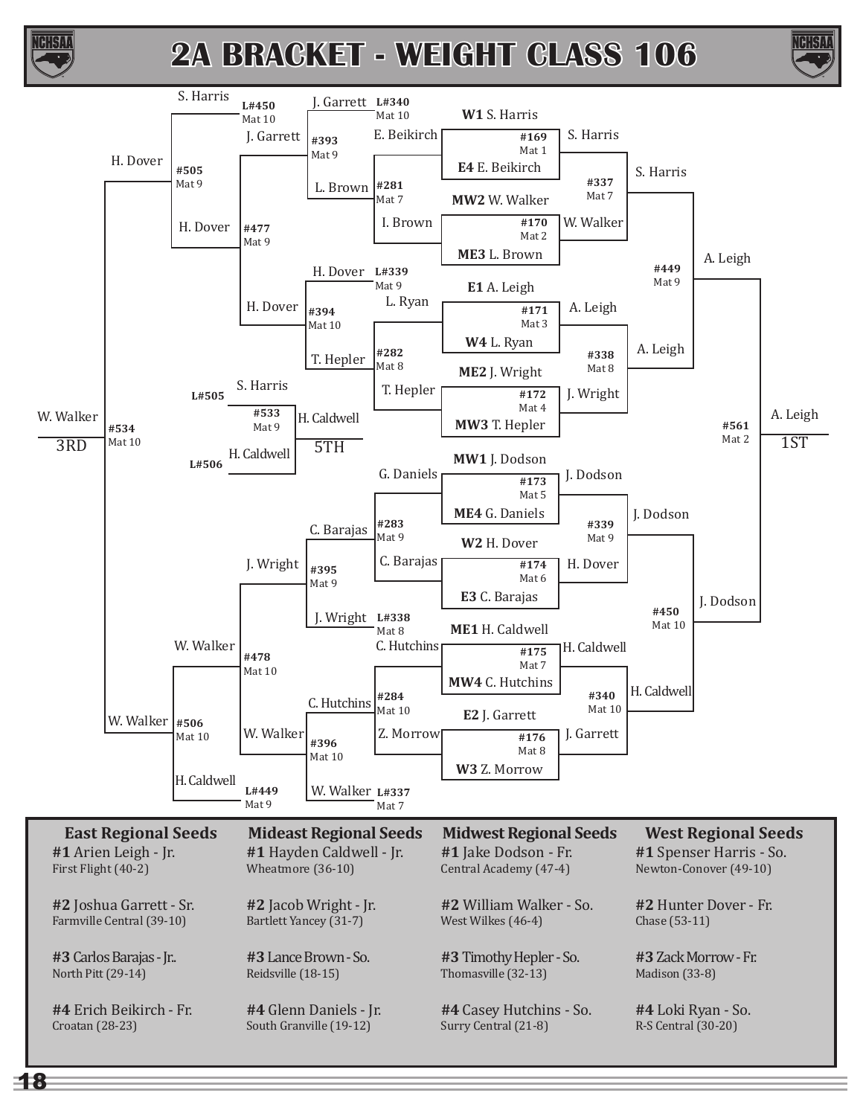



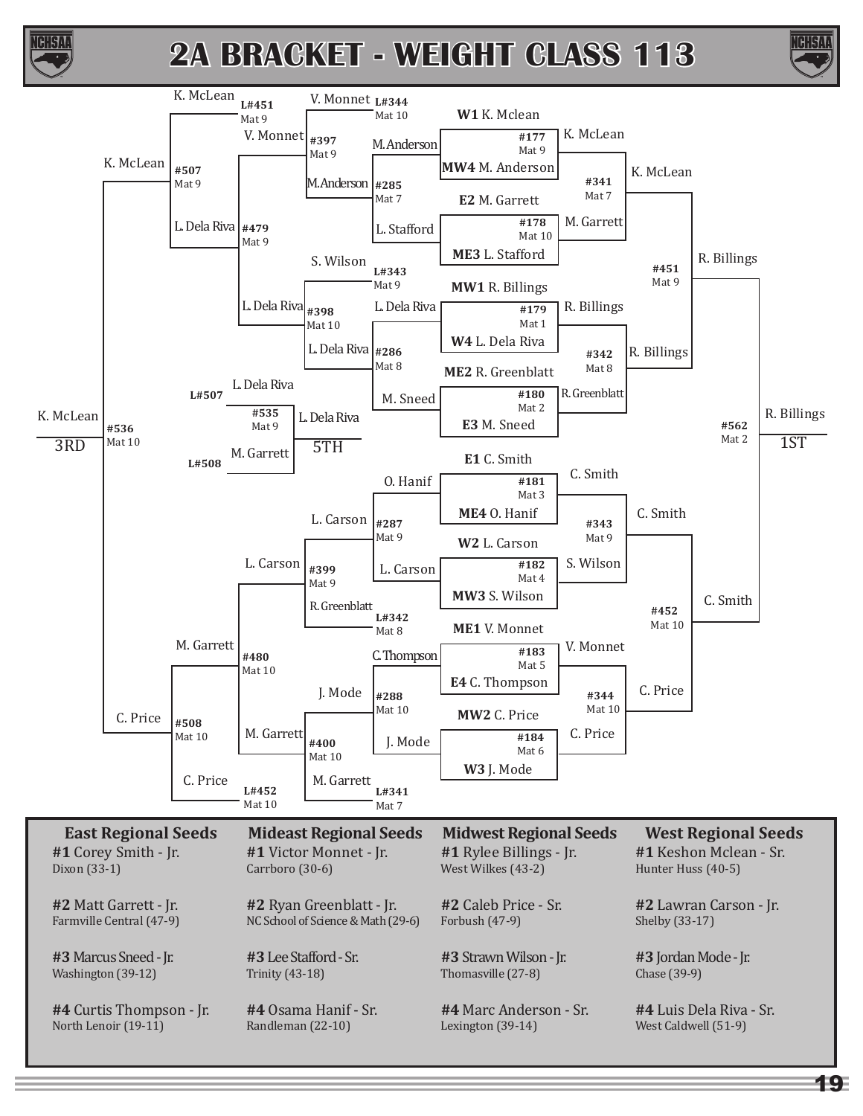



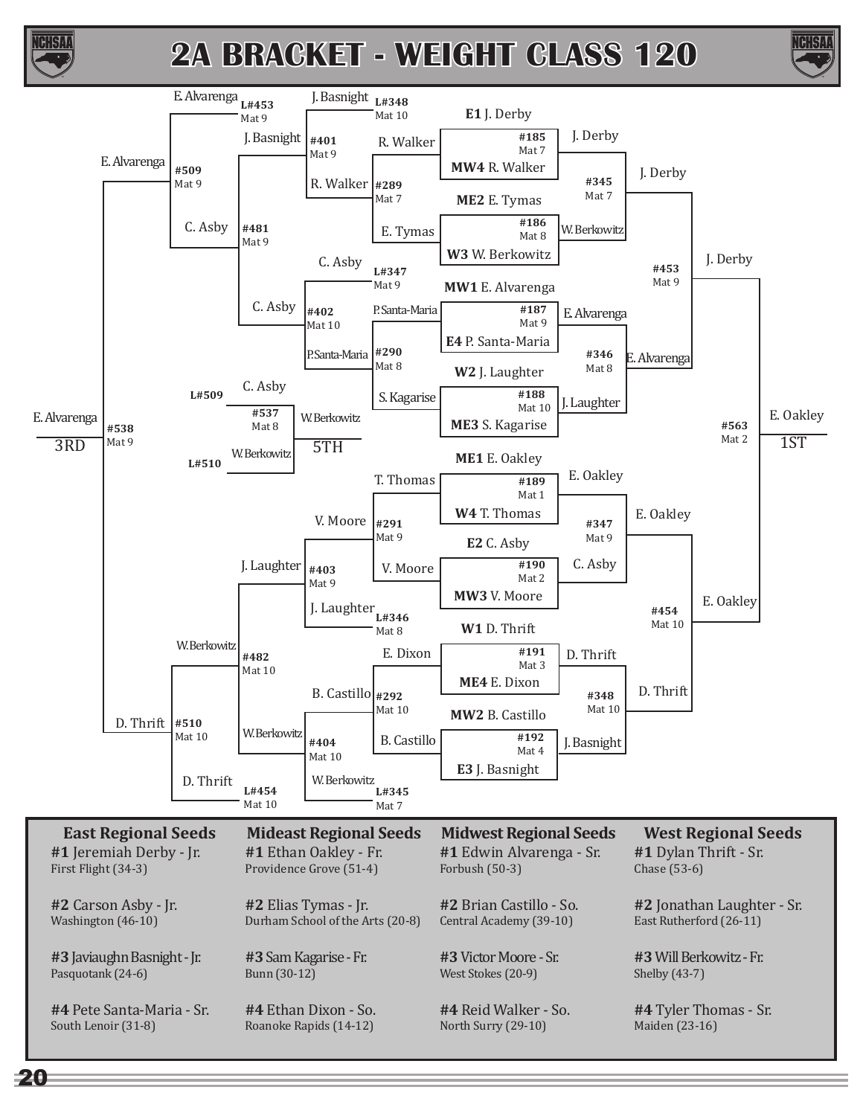



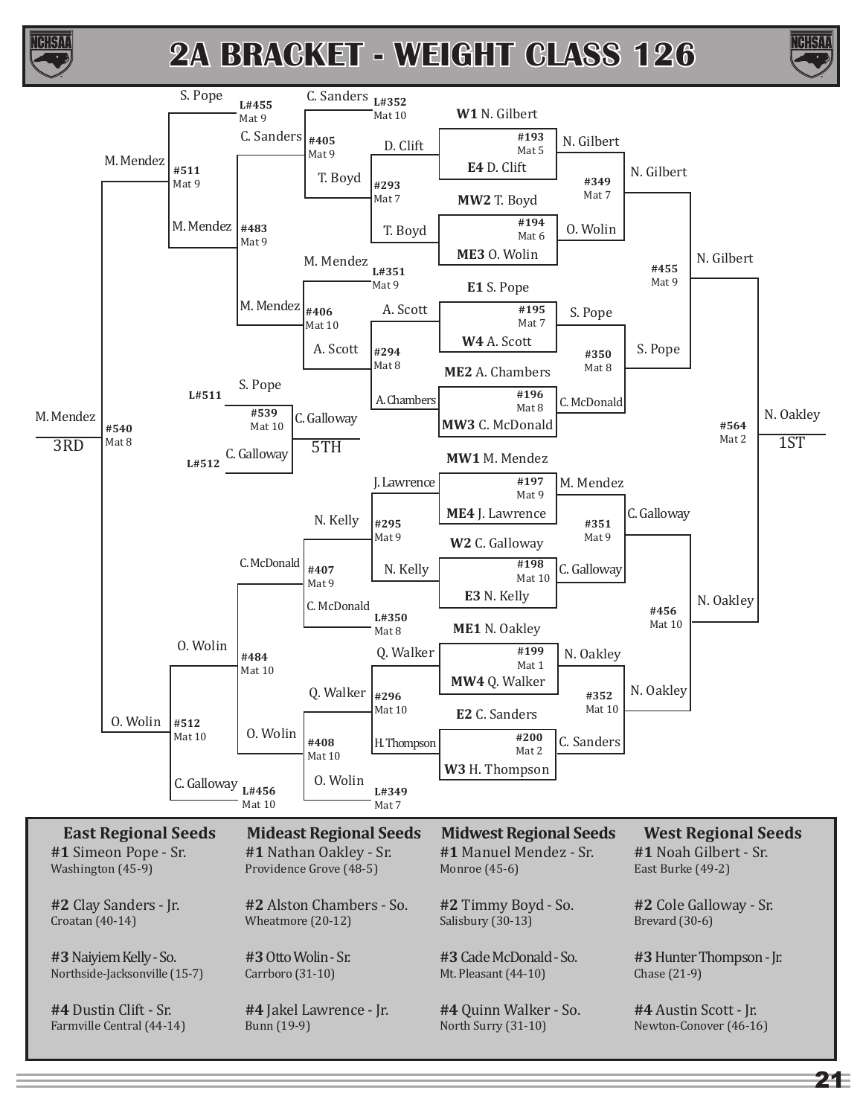



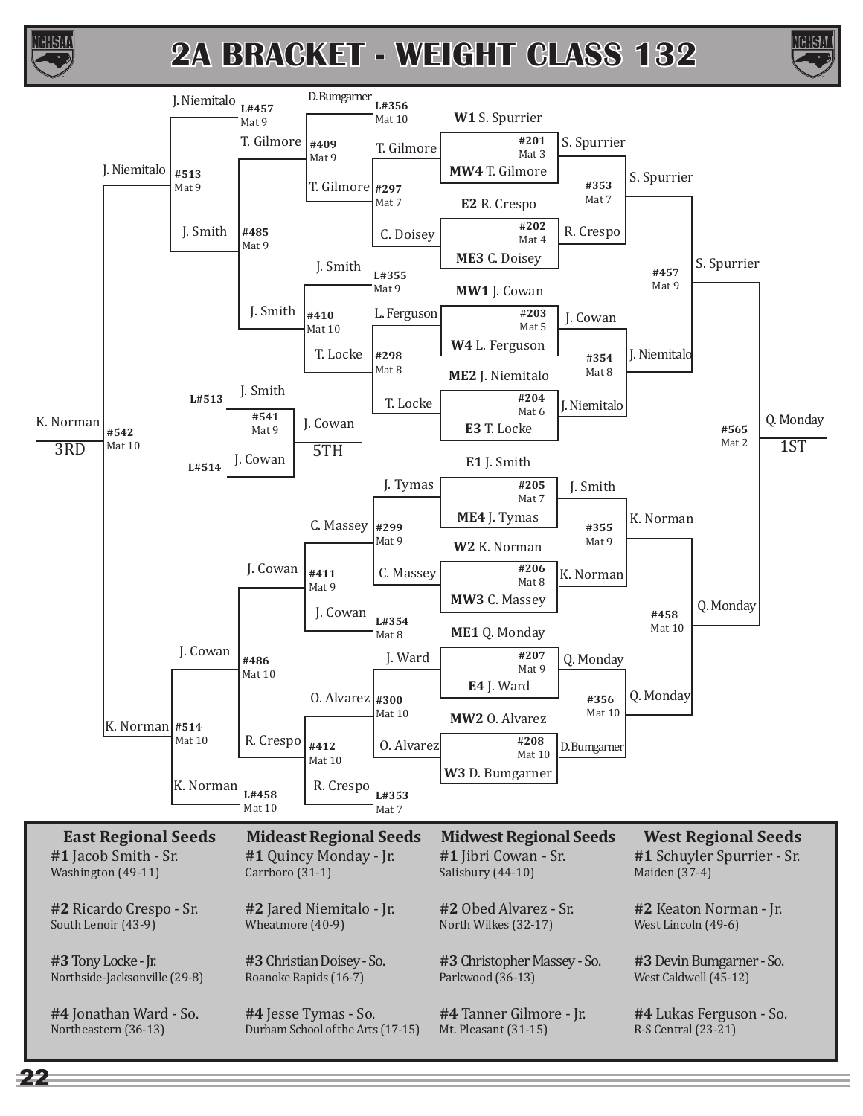



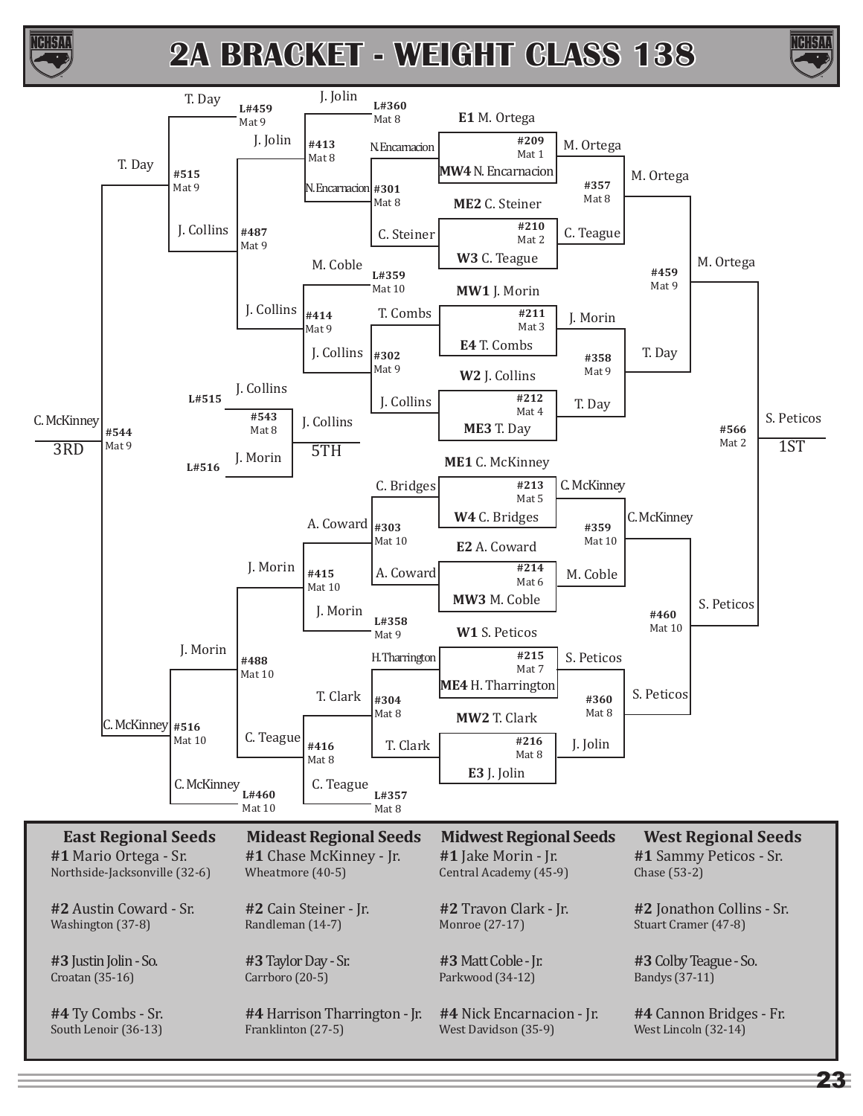



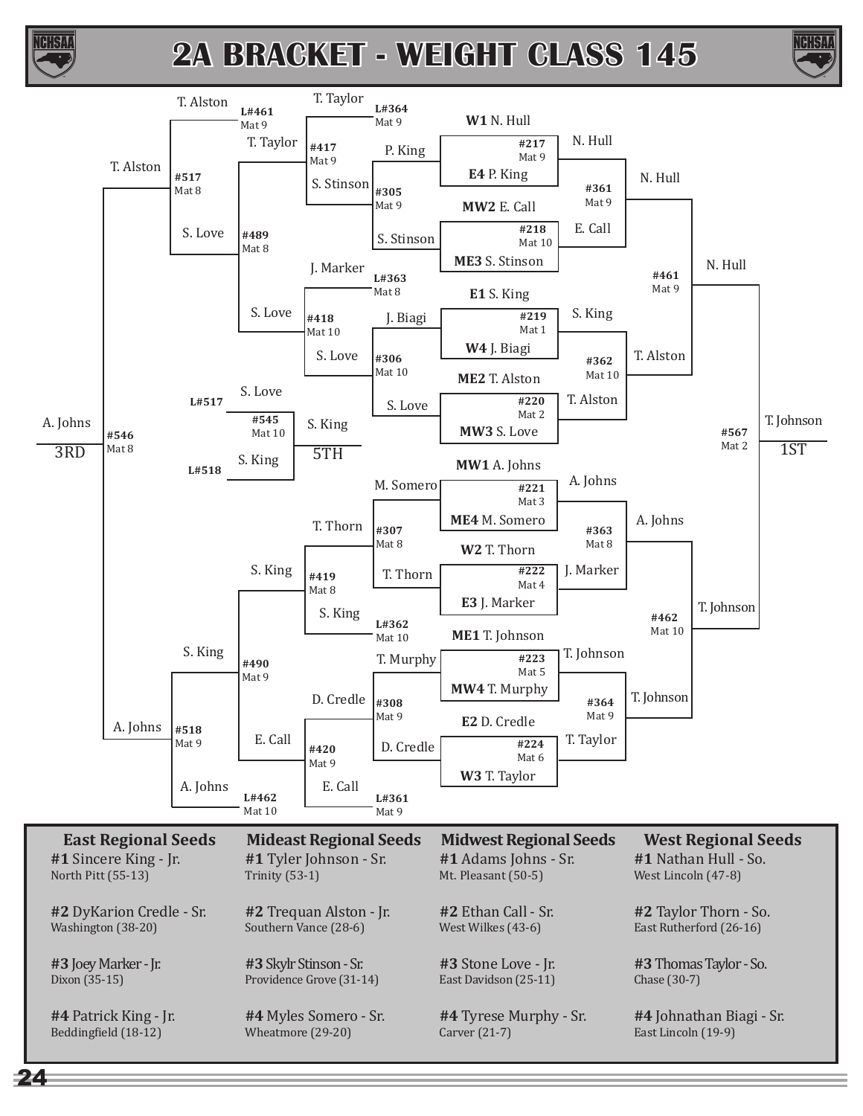





24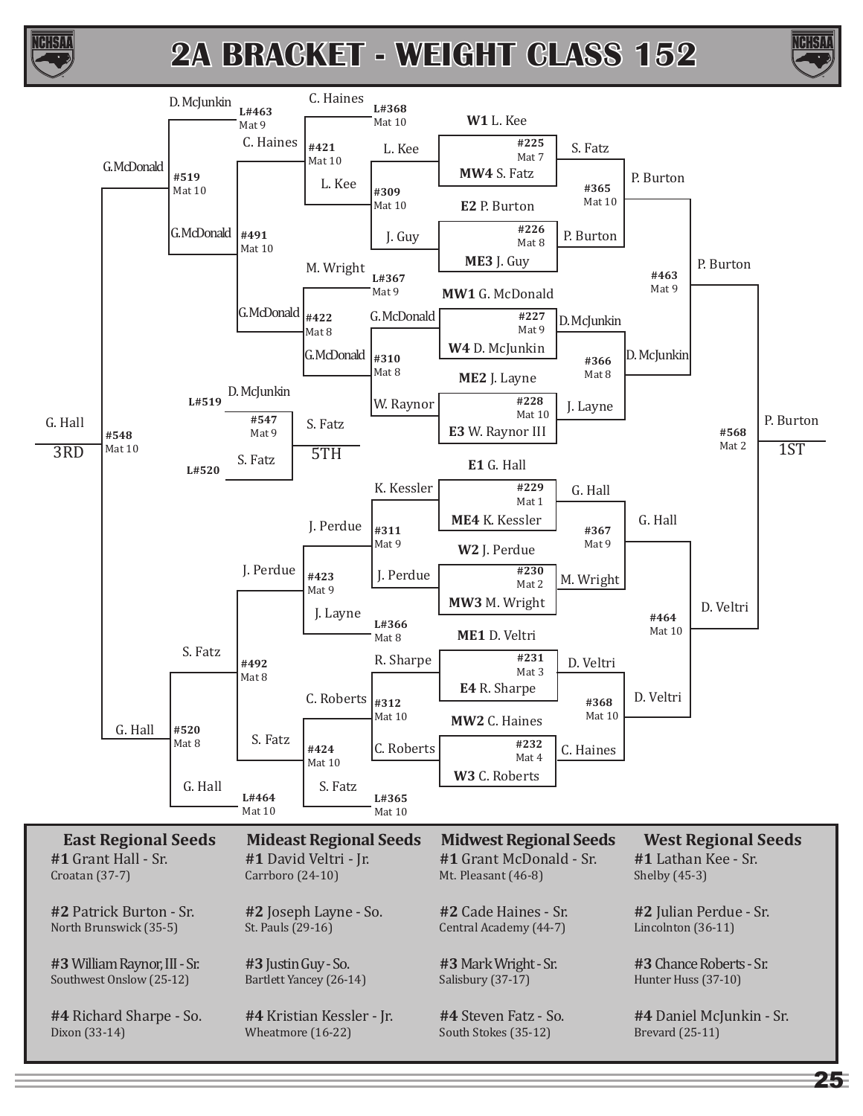



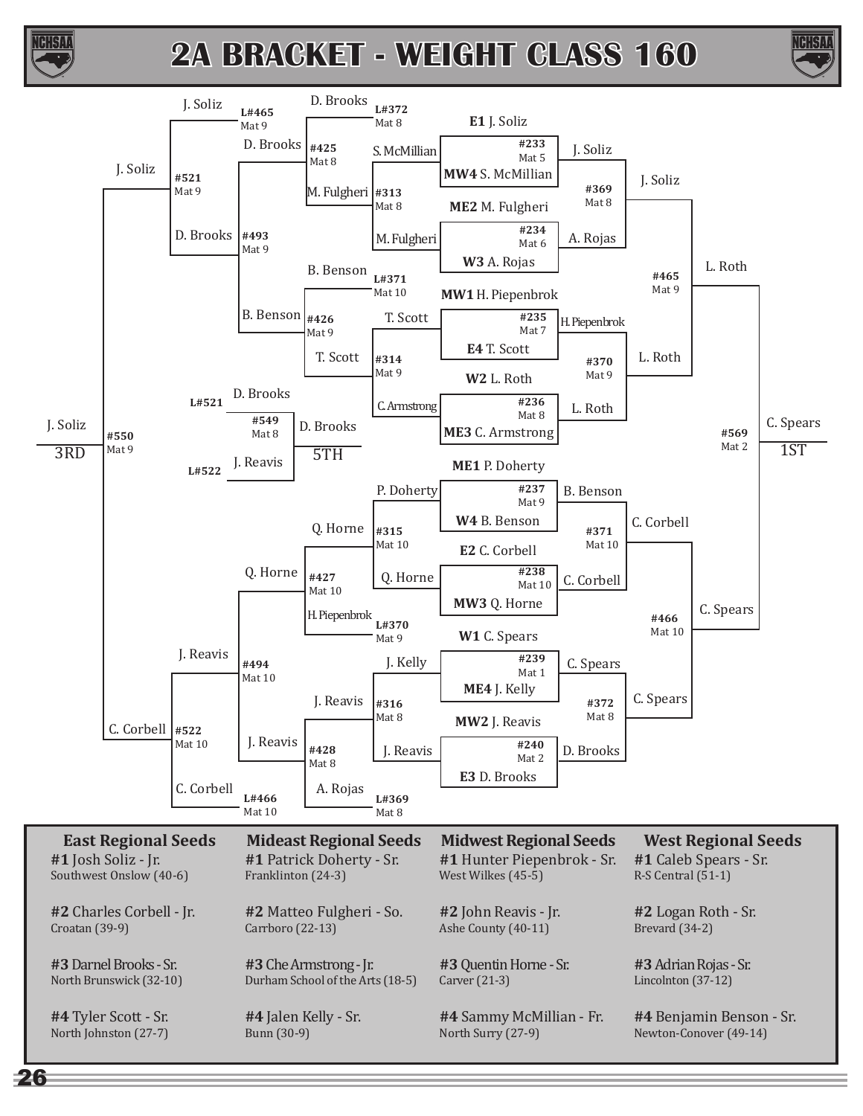





26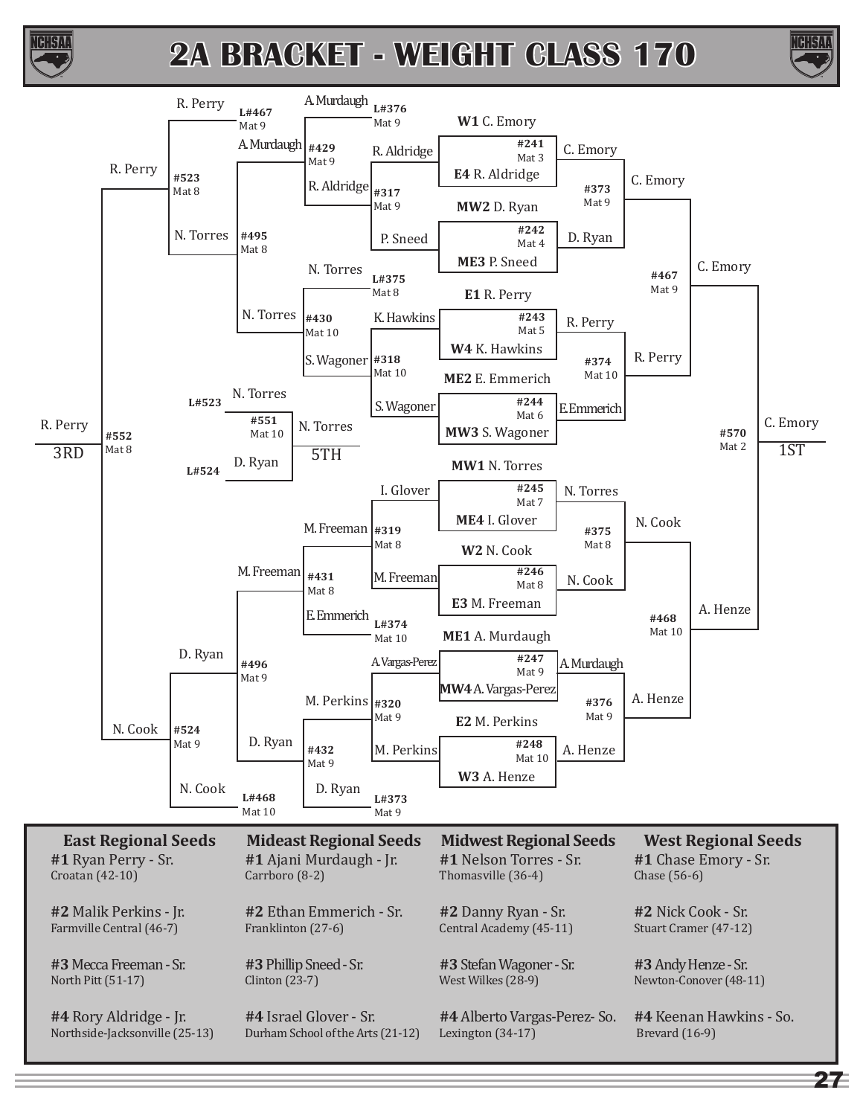



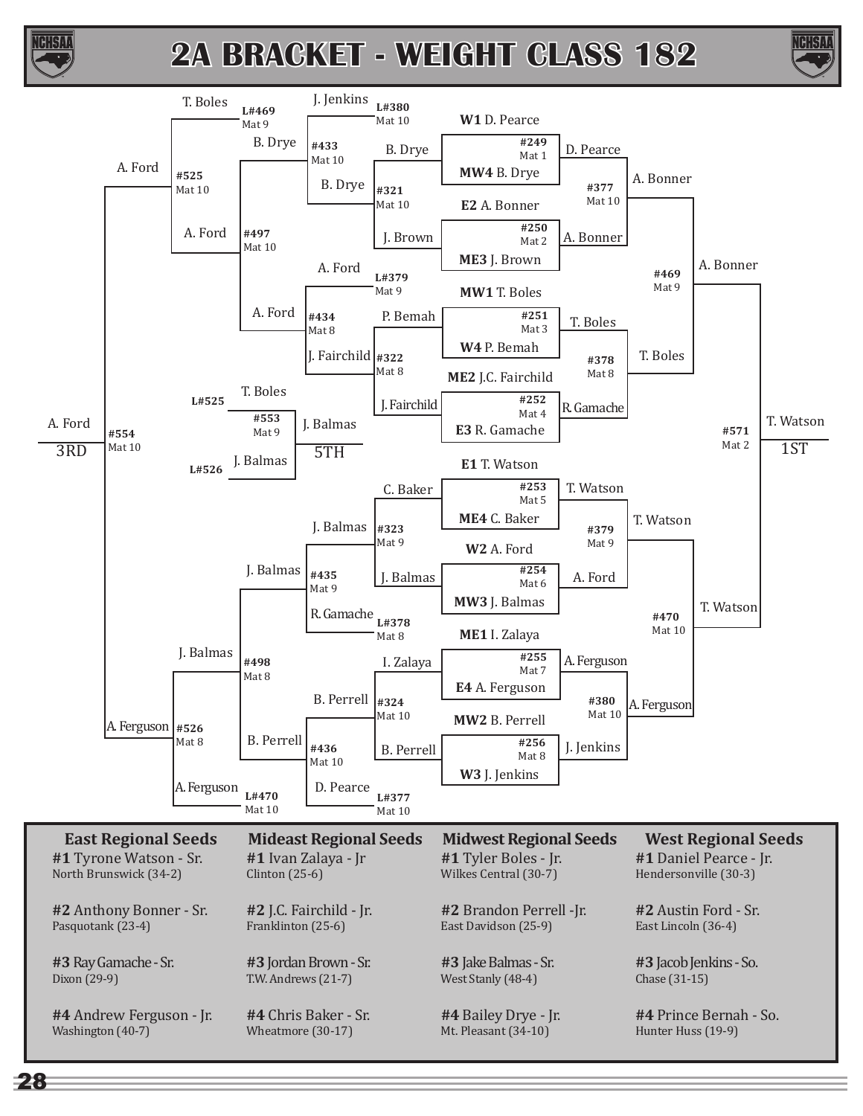



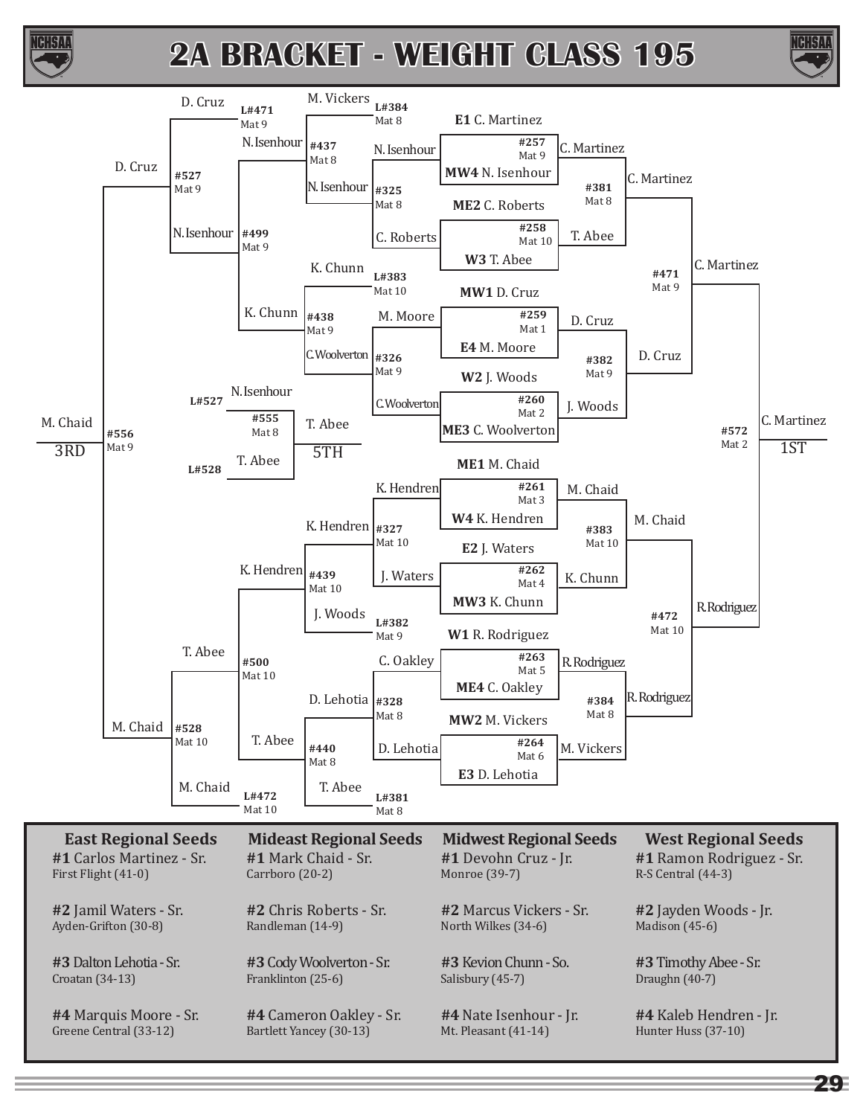



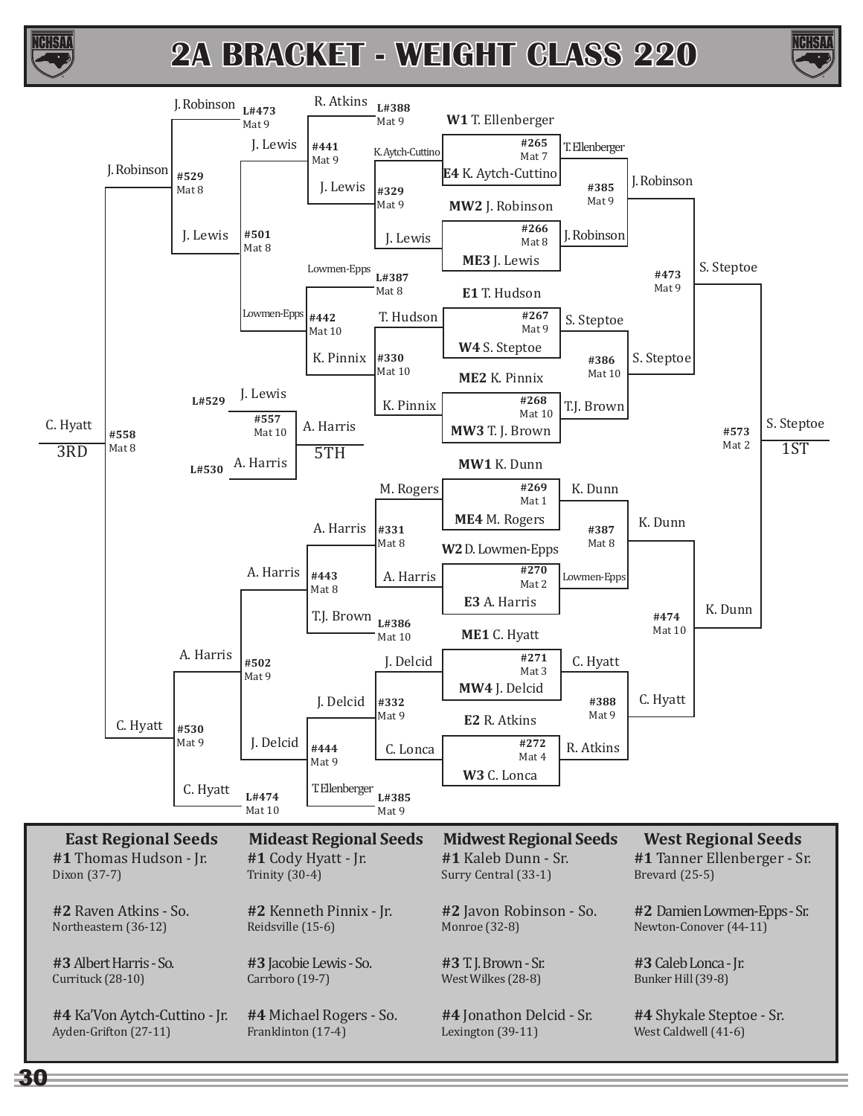